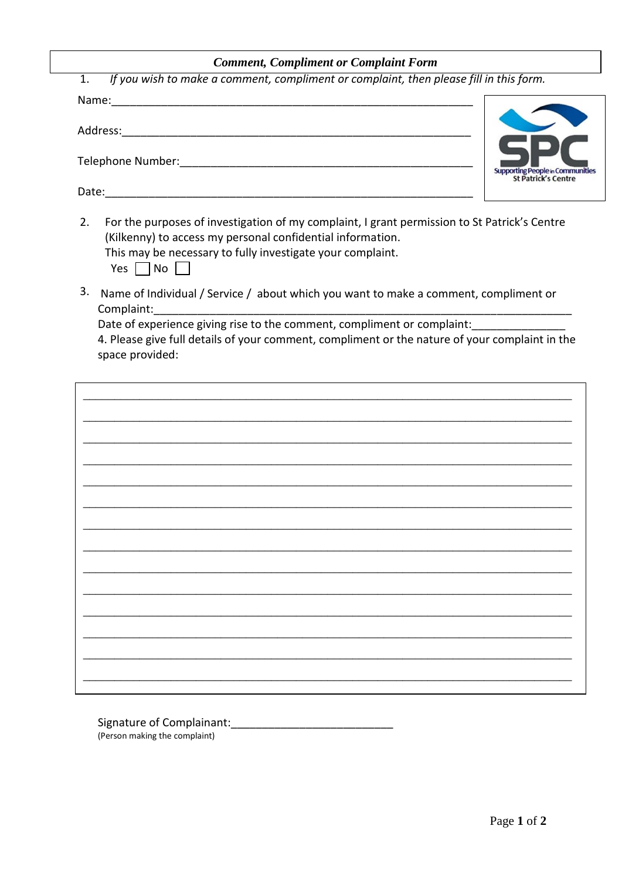## **Comment, Compliment or Complaint Form**

| Name:                                                                                                                                                                                                                                                                                                       |  |
|-------------------------------------------------------------------------------------------------------------------------------------------------------------------------------------------------------------------------------------------------------------------------------------------------------------|--|
| Address:                                                                                                                                                                                                                                                                                                    |  |
| Telephone Number: Telephone Number:<br><b>Supporting People in Communities</b>                                                                                                                                                                                                                              |  |
| <b>St Patrick's Centre</b><br>Date:                                                                                                                                                                                                                                                                         |  |
| For the purposes of investigation of my complaint, I grant permission to St Patrick's Centre<br>2.<br>(Kilkenny) to access my personal confidential information.<br>This may be necessary to fully investigate your complaint.<br>Yes  <br>  No                                                             |  |
| 3.<br>Name of Individual / Service / about which you want to make a comment, compliment or<br>Complaint:                                                                                                                                                                                                    |  |
| Date of experience giving rise to the comment, compliment or complaint:<br>$\mathbf{A}$ in the set of the set of the set of the set of the set of the set of the set of the set of the set of the set of the set of the set of the set of the set of the set of the set of the set of the set of the set of |  |

4. Please give full details of your comment, compliment or the nature of your complaint in the space provided:

(Person making the complaint)